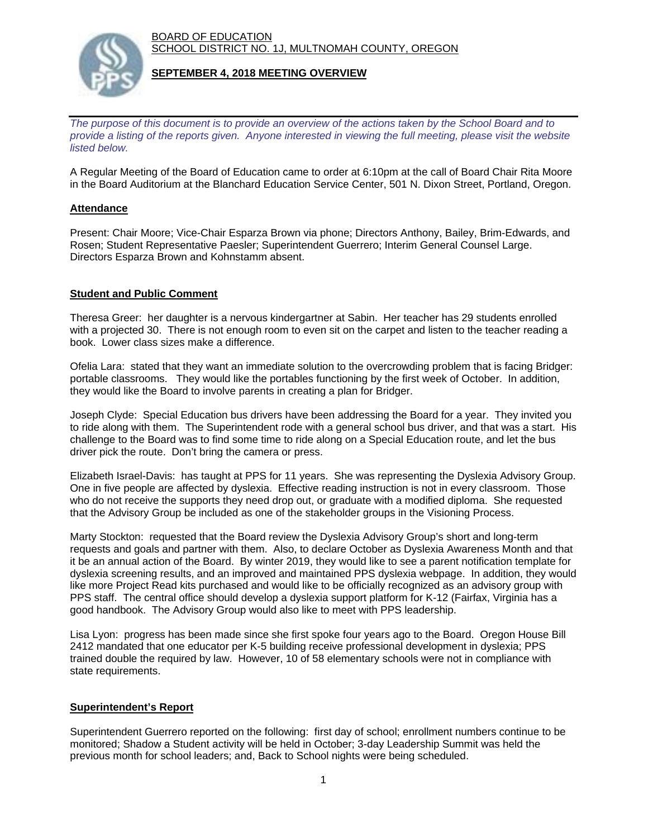BOARD OF EDUCATION SCHOOL DISTRICT NO. 1J, MULTNOMAH COUNTY, OREGON



# **SEPTEMBER 4, 2018 MEETING OVERVIEW**

*The purpose of this document is to provide an overview of the actions taken by the School Board and to provide a listing of the reports given. Anyone interested in viewing the full meeting, please visit the website listed below.*

A Regular Meeting of the Board of Education came to order at 6:10pm at the call of Board Chair Rita Moore in the Board Auditorium at the Blanchard Education Service Center, 501 N. Dixon Street, Portland, Oregon.

# **Attendance**

Present: Chair Moore; Vice-Chair Esparza Brown via phone; Directors Anthony, Bailey, Brim-Edwards, and Rosen; Student Representative Paesler; Superintendent Guerrero; Interim General Counsel Large. Directors Esparza Brown and Kohnstamm absent.

# **Student and Public Comment**

Theresa Greer: her daughter is a nervous kindergartner at Sabin. Her teacher has 29 students enrolled with a projected 30. There is not enough room to even sit on the carpet and listen to the teacher reading a book. Lower class sizes make a difference.

Ofelia Lara: stated that they want an immediate solution to the overcrowding problem that is facing Bridger: portable classrooms. They would like the portables functioning by the first week of October. In addition, they would like the Board to involve parents in creating a plan for Bridger.

Joseph Clyde: Special Education bus drivers have been addressing the Board for a year. They invited you to ride along with them. The Superintendent rode with a general school bus driver, and that was a start. His challenge to the Board was to find some time to ride along on a Special Education route, and let the bus driver pick the route. Don't bring the camera or press.

Elizabeth Israel-Davis: has taught at PPS for 11 years. She was representing the Dyslexia Advisory Group. One in five people are affected by dyslexia. Effective reading instruction is not in every classroom. Those who do not receive the supports they need drop out, or graduate with a modified diploma. She requested that the Advisory Group be included as one of the stakeholder groups in the Visioning Process.

Marty Stockton: requested that the Board review the Dyslexia Advisory Group's short and long-term requests and goals and partner with them. Also, to declare October as Dyslexia Awareness Month and that it be an annual action of the Board. By winter 2019, they would like to see a parent notification template for dyslexia screening results, and an improved and maintained PPS dyslexia webpage. In addition, they would like more Project Read kits purchased and would like to be officially recognized as an advisory group with PPS staff. The central office should develop a dyslexia support platform for K-12 (Fairfax, Virginia has a good handbook. The Advisory Group would also like to meet with PPS leadership.

Lisa Lyon: progress has been made since she first spoke four years ago to the Board. Oregon House Bill 2412 mandated that one educator per K-5 building receive professional development in dyslexia; PPS trained double the required by law. However, 10 of 58 elementary schools were not in compliance with state requirements.

# **Superintendent's Report**

Superintendent Guerrero reported on the following: first day of school; enrollment numbers continue to be monitored; Shadow a Student activity will be held in October; 3-day Leadership Summit was held the previous month for school leaders; and, Back to School nights were being scheduled.